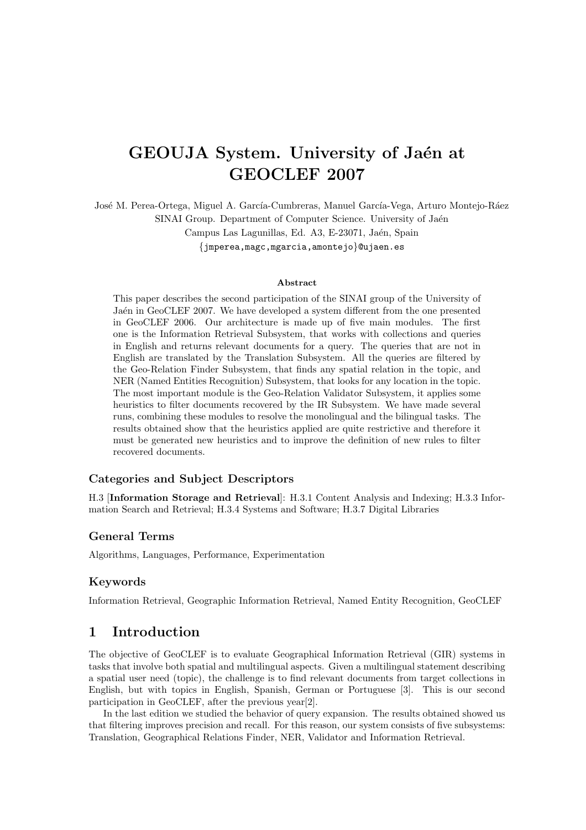# GEOUJA System. University of Jaén at GEOCLEF 2007

José M. Perea-Ortega, Miguel A. García-Cumbreras, Manuel García-Vega, Arturo Montejo-Ráez SINAI Group. Department of Computer Science. University of Jaén Campus Las Lagunillas, Ed. A3, E-23071, Jaén, Spain {jmperea,magc,mgarcia,amontejo}@ujaen.es

#### Abstract

This paper describes the second participation of the SINAI group of the University of Jaén in GeoCLEF 2007. We have developed a system different from the one presented in GeoCLEF 2006. Our architecture is made up of five main modules. The first one is the Information Retrieval Subsystem, that works with collections and queries in English and returns relevant documents for a query. The queries that are not in English are translated by the Translation Subsystem. All the queries are filtered by the Geo-Relation Finder Subsystem, that finds any spatial relation in the topic, and NER (Named Entities Recognition) Subsystem, that looks for any location in the topic. The most important module is the Geo-Relation Validator Subsystem, it applies some heuristics to filter documents recovered by the IR Subsystem. We have made several runs, combining these modules to resolve the monolingual and the bilingual tasks. The results obtained show that the heuristics applied are quite restrictive and therefore it must be generated new heuristics and to improve the definition of new rules to filter recovered documents.

## Categories and Subject Descriptors

H.3 [Information Storage and Retrieval]: H.3.1 Content Analysis and Indexing; H.3.3 Information Search and Retrieval; H.3.4 Systems and Software; H.3.7 Digital Libraries

### General Terms

Algorithms, Languages, Performance, Experimentation

## Keywords

Information Retrieval, Geographic Information Retrieval, Named Entity Recognition, GeoCLEF

# 1 Introduction

The objective of GeoCLEF is to evaluate Geographical Information Retrieval (GIR) systems in tasks that involve both spatial and multilingual aspects. Given a multilingual statement describing a spatial user need (topic), the challenge is to find relevant documents from target collections in English, but with topics in English, Spanish, German or Portuguese [3]. This is our second participation in GeoCLEF, after the previous year[2].

In the last edition we studied the behavior of query expansion. The results obtained showed us that filtering improves precision and recall. For this reason, our system consists of five subsystems: Translation, Geographical Relations Finder, NER, Validator and Information Retrieval.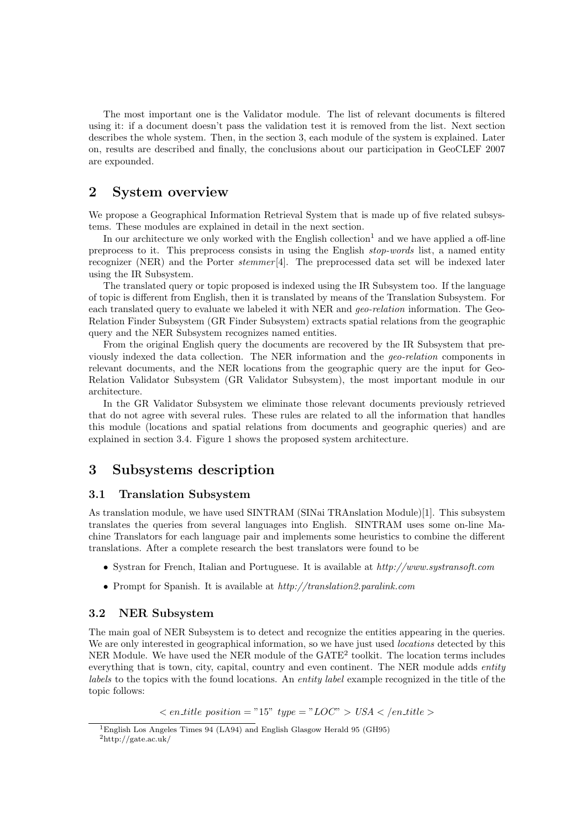The most important one is the Validator module. The list of relevant documents is filtered using it: if a document doesn't pass the validation test it is removed from the list. Next section describes the whole system. Then, in the section 3, each module of the system is explained. Later on, results are described and finally, the conclusions about our participation in GeoCLEF 2007 are expounded.

# 2 System overview

We propose a Geographical Information Retrieval System that is made up of five related subsystems. These modules are explained in detail in the next section.

In our architecture we only worked with the English collection<sup>1</sup> and we have applied a off-line preprocess to it. This preprocess consists in using the English stop-words list, a named entity recognizer (NER) and the Porter stemmer [4]. The preprocessed data set will be indexed later using the IR Subsystem.

The translated query or topic proposed is indexed using the IR Subsystem too. If the language of topic is different from English, then it is translated by means of the Translation Subsystem. For each translated query to evaluate we labeled it with NER and *geo-relation* information. The Geo-Relation Finder Subsystem (GR Finder Subsystem) extracts spatial relations from the geographic query and the NER Subsystem recognizes named entities.

From the original English query the documents are recovered by the IR Subsystem that previously indexed the data collection. The NER information and the geo-relation components in relevant documents, and the NER locations from the geographic query are the input for Geo-Relation Validator Subsystem (GR Validator Subsystem), the most important module in our architecture.

In the GR Validator Subsystem we eliminate those relevant documents previously retrieved that do not agree with several rules. These rules are related to all the information that handles this module (locations and spatial relations from documents and geographic queries) and are explained in section 3.4. Figure 1 shows the proposed system architecture.

# 3 Subsystems description

## 3.1 Translation Subsystem

As translation module, we have used SINTRAM (SINai TRAnslation Module)[1]. This subsystem translates the queries from several languages into English. SINTRAM uses some on-line Machine Translators for each language pair and implements some heuristics to combine the different translations. After a complete research the best translators were found to be

- Systran for French, Italian and Portuguese. It is available at  $http://www.systransoft.com$
- Prompt for Spanish. It is available at  $http://translation2.paralink.com$

## 3.2 NER Subsystem

The main goal of NER Subsystem is to detect and recognize the entities appearing in the queries. We are only interested in geographical information, so we have just used *locations* detected by this NER Module. We have used the NER module of the GATE<sup>2</sup> toolkit. The location terms includes everything that is town, city, capital, country and even continent. The NER module adds *entity* labels to the topics with the found locations. An entity label example recognized in the title of the topic follows:

 $\langle$  en\_title position = "15" type = "LOC" > USA  $\langle$  /en\_title >

<sup>1</sup>English Los Angeles Times 94 (LA94) and English Glasgow Herald 95 (GH95)  $^2$ http://gate.ac.uk/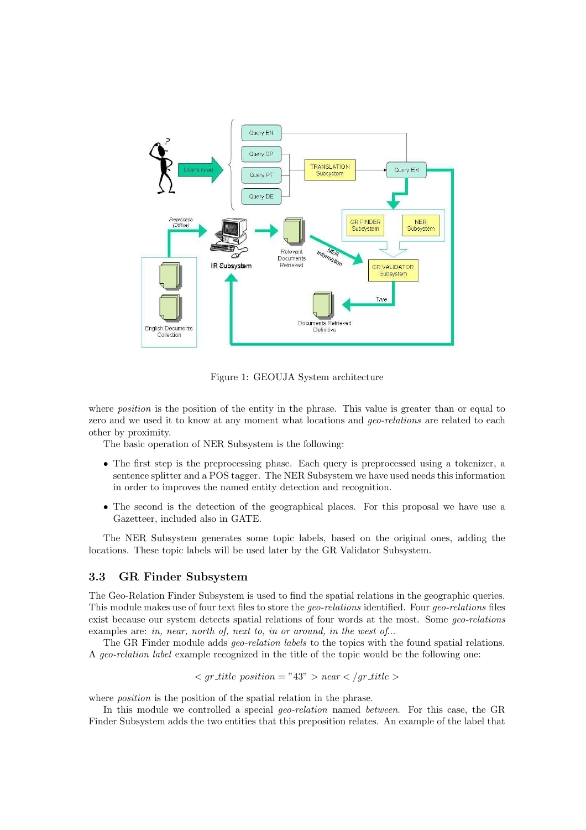

Figure 1: GEOUJA System architecture

where *position* is the position of the entity in the phrase. This value is greater than or equal to zero and we used it to know at any moment what locations and *geo-relations* are related to each other by proximity.

The basic operation of NER Subsystem is the following:

- The first step is the preprocessing phase. Each query is preprocessed using a tokenizer, a sentence splitter and a POS tagger. The NER Subsystem we have used needs this information in order to improves the named entity detection and recognition.
- The second is the detection of the geographical places. For this proposal we have use a Gazetteer, included also in GATE.

The NER Subsystem generates some topic labels, based on the original ones, adding the locations. These topic labels will be used later by the GR Validator Subsystem.

## 3.3 GR Finder Subsystem

The Geo-Relation Finder Subsystem is used to find the spatial relations in the geographic queries. This module makes use of four text files to store the geo-relations identified. Four geo-relations files exist because our system detects spatial relations of four words at the most. Some geo-relations examples are: in, near, north of, next to, in or around, in the west of...

The GR Finder module adds *geo-relation labels* to the topics with the found spatial relations. A geo-relation label example recognized in the title of the topic would be the following one:

$$
- *trile position* = "43" > *near*  $<$  / *gr* - *title* >
$$

where *position* is the position of the spatial relation in the phrase.

In this module we controlled a special *geo-relation* named *between*. For this case, the GR Finder Subsystem adds the two entities that this preposition relates. An example of the label that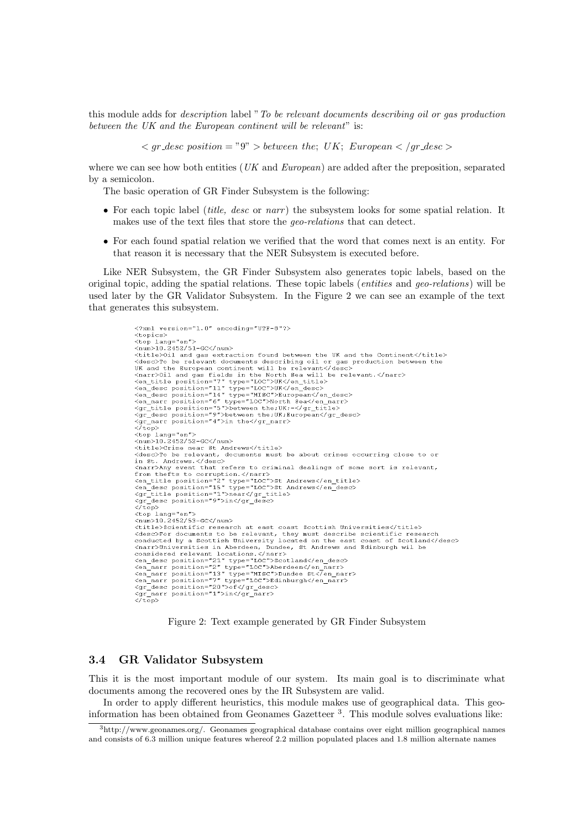this module adds for description label "To be relevant documents describing oil or gas production between the UK and the European continent will be relevant" is:

 $\langle qr\rangle = \langle qr\rangle + \langle qr\rangle + \langle qr\rangle + \langle qr\rangle + \langle qr\rangle + \langle qr\rangle + \langle qr\rangle + \langle qr\rangle + \langle qr\rangle + \langle qr\rangle + \langle qr\rangle + \langle qr\rangle + \langle qr\rangle + \langle qr\rangle + \langle qr\rangle + \langle qr\rangle + \langle qr\rangle + \langle qr\rangle + \langle qr\rangle + \langle qr\rangle + \langle qr\rangle + \langle qr\rangle + \langle qr\rangle + \langle qr\rangle + \langle qr\rangle + \langle qr\rangle + \langle qr\rangle + \langle qr\rangle + \langle qr\rangle + \langle qr\rangle + \langle q$ 

where we can see how both entities  $(UK \text{ and } European)$  are added after the preposition, separated by a semicolon.

The basic operation of GR Finder Subsystem is the following:

- For each topic label (*title, desc* or  $narr$ ) the subsystem looks for some spatial relation. It makes use of the text files that store the geo-relations that can detect.
- For each found spatial relation we verified that the word that comes next is an entity. For that reason it is necessary that the NER Subsystem is executed before.

Like NER Subsystem, the GR Finder Subsystem also generates topic labels, based on the original topic, adding the spatial relations. These topic labels (entities and geo-relations) will be used later by the GR Validator Subsystem. In the Figure 2 we can see an example of the text that generates this subsystem.

> <?xml version="1.0" encoding="UTF-8"?><br><topics> <topics><br><top\_lang="en"> <num>10.2452/51-GC</num> <hum>io.z452/51-GC\/num><br><title>Oil and gas extraction found between the UK and the Continent</title>  $\text{critis} > 0$ i and gas extraction found between the UK and the Continent</title\<br>  $\text{cdes} > \text{To be relevant}$  documents describing oil or gas production between the<br>
> stand the European continent will be relevant</desc><br>  $\text{Canert>} > 0$  a <gr\_desc position= 9 >becween the,on,E<br><gr narr position="4">in the</gr narr>  $\langle\bar{\ell}\tau\bar{\circ}\bar{\rm p}\rangle$ </borderside="en"><br><top\_lang="en"><br><num>10.2452/52-GC</num> <title>Crime near St Andrews</title> called the relevant, documents must be about crimes occurring close to or Natural De relevant, documents must be about crimes occurring crose to or<br>in St. Andrews.</desc><br><narr>Any event that refers to criminal dealings of some sort is relevant, <marr>Any event that refers to criminal dealings of some<br>from the ts to corruption.<br><mr/>(harr><br><en\_title position="2" type="LOC">St Andrews</en\_title><br><en\_desc position="15" type="LOC">St Andrews</en\_desc><br><gr\_title posit <br />
> <br />
> <top lang="en"></top lang="en"></top dang="en"></top </top </top </top </top </top </top </top </top </top </top </top </top </top </top </top </top </top </top </top </top </top </top </top </top </top </top xtitle>Scientific research at east coast Scottish Universities</title><br><desc>For documents to be relevant, they must describe scientific research<br>conducted by a Scottish University located on the east coast of Scotland</de <describe scattering to be relevant, they must describe scientific resear<br>conducted by a Scottish University located on the east coast of Scotlan<br><harr>>>>>>Universities in Aberdeen, Dundee, St Andrews and Edinburgh wil be

> > Figure 2: Text example generated by GR Finder Subsystem

## 3.4 GR Validator Subsystem

This it is the most important module of our system. Its main goal is to discriminate what documents among the recovered ones by the IR Subsystem are valid.

In order to apply different heuristics, this module makes use of geographical data. This geoinformation has been obtained from Geonames Gazetteer <sup>3</sup> . This module solves evaluations like:

<sup>3</sup>http://www.geonames.org/. Geonames geographical database contains over eight million geographical names and consists of 6.3 million unique features whereof 2.2 million populated places and 1.8 million alternate names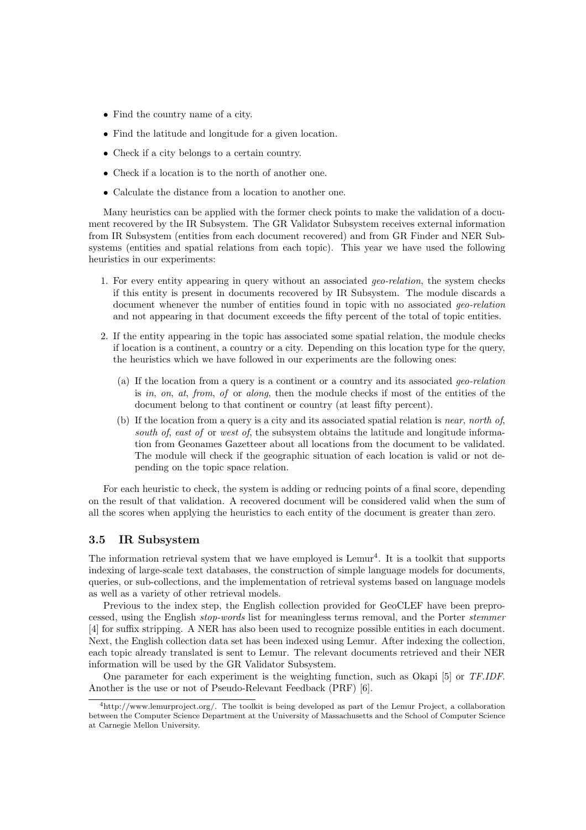- Find the country name of a city.
- Find the latitude and longitude for a given location.
- Check if a city belongs to a certain country.
- Check if a location is to the north of another one.
- Calculate the distance from a location to another one.

Many heuristics can be applied with the former check points to make the validation of a document recovered by the IR Subsystem. The GR Validator Subsystem receives external information from IR Subsystem (entities from each document recovered) and from GR Finder and NER Subsystems (entities and spatial relations from each topic). This year we have used the following heuristics in our experiments:

- 1. For every entity appearing in query without an associated geo-relation, the system checks if this entity is present in documents recovered by IR Subsystem. The module discards a document whenever the number of entities found in topic with no associated *geo-relation* and not appearing in that document exceeds the fifty percent of the total of topic entities.
- 2. If the entity appearing in the topic has associated some spatial relation, the module checks if location is a continent, a country or a city. Depending on this location type for the query, the heuristics which we have followed in our experiments are the following ones:
	- (a) If the location from a query is a continent or a country and its associated geo-relation is in, on, at, from, of or along, then the module checks if most of the entities of the document belong to that continent or country (at least fifty percent).
	- (b) If the location from a query is a city and its associated spatial relation is near, north of, south of, east of or west of, the subsystem obtains the latitude and longitude information from Geonames Gazetteer about all locations from the document to be validated. The module will check if the geographic situation of each location is valid or not depending on the topic space relation.

For each heuristic to check, the system is adding or reducing points of a final score, depending on the result of that validation. A recovered document will be considered valid when the sum of all the scores when applying the heuristics to each entity of the document is greater than zero.

## 3.5 IR Subsystem

The information retrieval system that we have employed is  $Lemur<sup>4</sup>$ . It is a toolkit that supports indexing of large-scale text databases, the construction of simple language models for documents, queries, or sub-collections, and the implementation of retrieval systems based on language models as well as a variety of other retrieval models.

Previous to the index step, the English collection provided for GeoCLEF have been preprocessed, using the English stop-words list for meaningless terms removal, and the Porter stemmer [4] for suffix stripping. A NER has also been used to recognize possible entities in each document. Next, the English collection data set has been indexed using Lemur. After indexing the collection, each topic already translated is sent to Lemur. The relevant documents retrieved and their NER information will be used by the GR Validator Subsystem.

One parameter for each experiment is the weighting function, such as Okapi [5] or TF.IDF. Another is the use or not of Pseudo-Relevant Feedback (PRF) [6].

<sup>4</sup>http://www.lemurproject.org/. The toolkit is being developed as part of the Lemur Project, a collaboration between the Computer Science Department at the University of Massachusetts and the School of Computer Science at Carnegie Mellon University.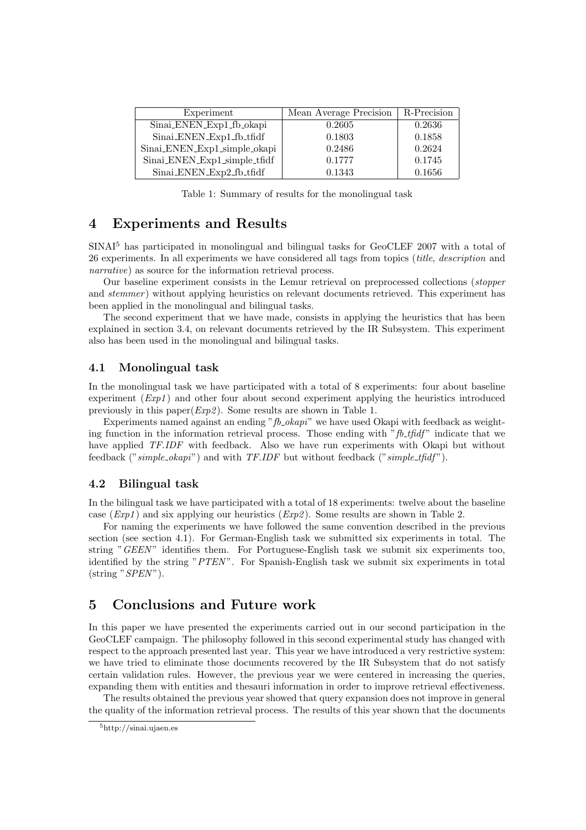| Experiment                   | Mean Average Precision | R-Precision |
|------------------------------|------------------------|-------------|
| Sinai_ENEN_Exp1_fb_okapi     | 0.2605                 | 0.2636      |
| Sinai_ENEN_Exp1_fb_tfidf     | 0.1803                 | 0.1858      |
| Sinai ENEN Exp1_simple_okapi | 0.2486                 | 0.2624      |
| Sinai_ENEN_Exp1_simple_tfidf | 0.1777                 | 0.1745      |
| Sinai_ENEN_Exp2_fb_tfidf     | 0.1343                 | 0.1656      |

Table 1: Summary of results for the monolingual task

# 4 Experiments and Results

SINAI<sup>5</sup> has participated in monolingual and bilingual tasks for GeoCLEF 2007 with a total of 26 experiments. In all experiments we have considered all tags from topics (title, description and narrative) as source for the information retrieval process.

Our baseline experiment consists in the Lemur retrieval on preprocessed collections (stopper and *stemmer*) without applying heuristics on relevant documents retrieved. This experiment has been applied in the monolingual and bilingual tasks.

The second experiment that we have made, consists in applying the heuristics that has been explained in section 3.4, on relevant documents retrieved by the IR Subsystem. This experiment also has been used in the monolingual and bilingual tasks.

## 4.1 Monolingual task

In the monolingual task we have participated with a total of 8 experiments: four about baseline experiment  $(Exp1)$  and other four about second experiment applying the heuristics introduced previously in this paper( $Exp2$ ). Some results are shown in Table 1.

Experiments named against an ending " $\beta$ -okapi" we have used Okapi with feedback as weighting function in the information retrieval process. Those ending with " $fb\_tf\hat{d}f$ " indicate that we have applied TF.IDF with feedback. Also we have run experiments with Okapi but without feedback (" $simple\_okapi$ ") and with  $TF.IDF$  but without feedback (" $simple\_tfidf$ ").

## 4.2 Bilingual task

In the bilingual task we have participated with a total of 18 experiments: twelve about the baseline case  $(Exp1)$  and six applying our heuristics  $(Exp2)$ . Some results are shown in Table 2.

For naming the experiments we have followed the same convention described in the previous section (see section 4.1). For German-English task we submitted six experiments in total. The string "GEEN" identifies them. For Portuguese-English task we submit six experiments too, identified by the string "PTEN". For Spanish-English task we submit six experiments in total  $(string "SPEN").$ 

# 5 Conclusions and Future work

In this paper we have presented the experiments carried out in our second participation in the GeoCLEF campaign. The philosophy followed in this second experimental study has changed with respect to the approach presented last year. This year we have introduced a very restrictive system: we have tried to eliminate those documents recovered by the IR Subsystem that do not satisfy certain validation rules. However, the previous year we were centered in increasing the queries, expanding them with entities and thesauri information in order to improve retrieval effectiveness.

The results obtained the previous year showed that query expansion does not improve in general the quality of the information retrieval process. The results of this year shown that the documents

<sup>5</sup>http://sinai.ujaen.es